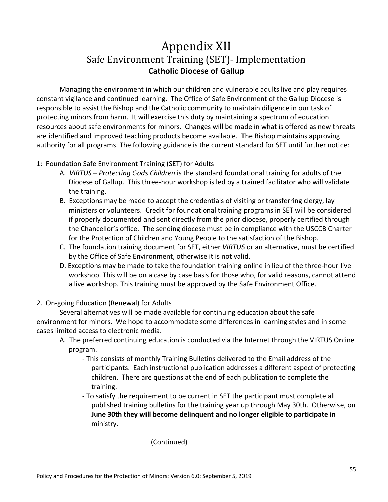## Appendix XII Safe Environment Training (SET)- Implementation **Catholic Diocese of Gallup**

Managing the environment in which our children and vulnerable adults live and play requires constant vigilance and continued learning. The Office of Safe Environment of the Gallup Diocese is responsible to assist the Bishop and the Catholic community to maintain diligence in our task of protecting minors from harm. It will exercise this duty by maintaining a spectrum of education resources about safe environments for minors. Changes will be made in what is offered as new threats are identified and improved teaching products become available. The Bishop maintains approving authority for all programs. The following guidance is the current standard for SET until further notice:

## 1: Foundation Safe Environment Training (SET) for Adults

- A. *VIRTUS – Protecting Gods Children* is the standard foundational training for adults of the Diocese of Gallup. This three-hour workshop is led by a trained facilitator who will validate the training.
- B. Exceptions may be made to accept the credentials of visiting or transferring clergy, lay ministers or volunteers. Credit for foundational training programs in SET will be considered if properly documented and sent directly from the prior diocese, properly certified through the Chancellor's office. The sending diocese must be in compliance with the USCCB Charter for the Protection of Children and Young People to the satisfaction of the Bishop.
- C. The foundation training document for SET, either *VIRTUS* or an alternative, must be certified by the Office of Safe Environment, otherwise it is not valid.
- D. Exceptions may be made to take the foundation training online in lieu of the three-hour live workshop. This will be on a case by case basis for those who, for valid reasons, cannot attend a live workshop. This training must be approved by the Safe Environment Office.
- 2. On-going Education (Renewal) for Adults

Several alternatives will be made available for continuing education about the safe environment for minors. We hope to accommodate some differences in learning styles and in some cases limited access to electronic media.

- A. The preferred continuing education is conducted via the Internet through the VIRTUS Online program.
	- This consists of monthly Training Bulletins delivered to the Email address of the participants. Each instructional publication addresses a different aspect of protecting children. There are questions at the end of each publication to complete the training.
	- To satisfy the requirement to be current in SET the participant must complete all published training bulletins for the training year up through May 30th. Otherwise, on **June 30th they will become delinquent and no longer eligible to participate in** ministry.

## (Continued)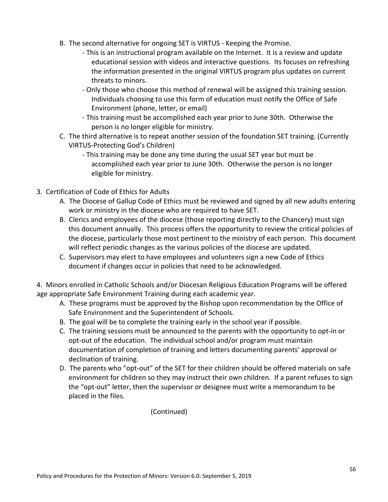- B. The second alternative for ongoing SET is VIRTUS Keeping the Promise.
	- This is an instructional program available on the Internet. It is a review and update educational session with videos and interactive questions. Its focuses on refreshing the information presented in the original VIRTUS program plus updates on current threats to minors.
	- Only those who choose this method of renewal will be assigned this training session. Individuals choosing to use this form of education must notify the Office of Safe Environment (phone, letter, or email)
	- This training must be accomplished each year prior to June 30th. Otherwise the person is no longer eligible for ministry.
- C. The third alternative is to repeat another session of the foundation SET training. (Currently VIRTUS-Protecting God's Children)
	- This training may be done any time during the usual SET year but must be accomplished each year prior to June 30th. Otherwise the person is no longer eligible for ministry.
- 3. Certification of Code of Ethics for Adults
	- A. The Diocese of Gallup Code of Ethics must be reviewed and signed by all new adults entering work or ministry in the diocese who are required to have SET.
	- B. Clerics and employees of the diocese (those reporting directly to the Chancery) must sign this document annually. This process offers the opportunity to review the critical policies of the diocese, particularly those most pertinent to the ministry of each person. This document will reflect periodic changes as the various policies of the diocese are updated.
	- C. Supervisors may elect to have employees and volunteers sign a new Code of Ethics document if changes occur in policies that need to be acknowledged.

4. Minors enrolled in Catholic Schools and/or Diocesan Religious Education Programs will be offered age appropriate Safe Environment Training during each academic year.

- A. These programs must be approved by the Bishop upon recommendation by the Office of Safe Environment and the Superintendent of Schools.
- B. The goal will be to complete the training early in the school year if possible.
- C. The training sessions must be announced to the parents with the opportunity to opt-in or opt-out of the education. The individual school and/or program must maintain documentation of completion of training and letters documenting parents' approval or declination of training.
- D. The parents who "opt-out" of the SET for their children should be offered materials on safe environment for children so they may instruct their own children. If a parent refuses to sign the "opt-out" letter, then the supervisor or designee must write a memorandum to be placed in the files.

(Continued)